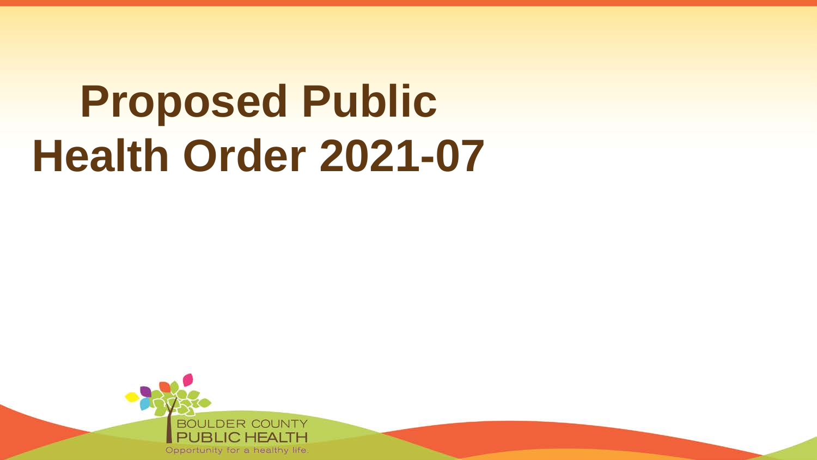# **Proposed Public Health Order 2021-07**

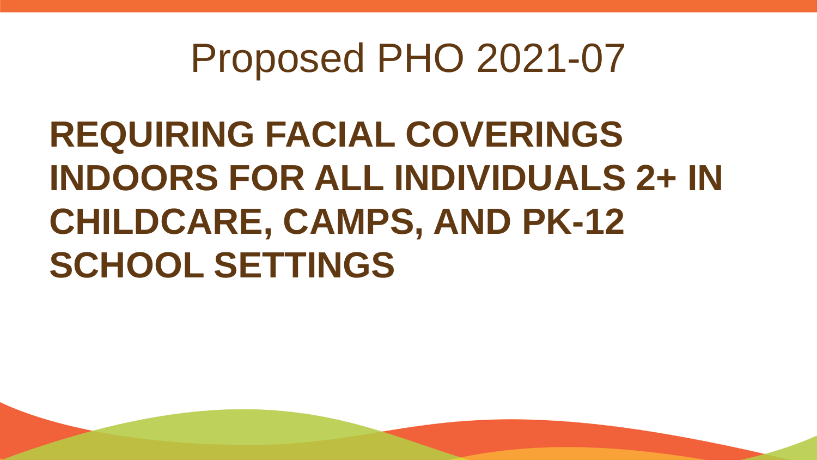**REQUIRING FACIAL COVERINGS INDOORS FOR ALL INDIVIDUALS 2+ IN CHILDCARE, CAMPS, AND PK-12 SCHOOL SETTINGS**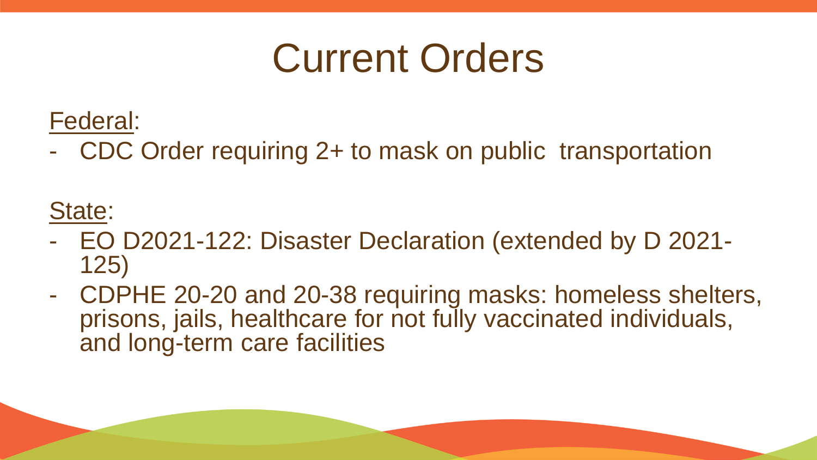#### Current Orders

Federal:

- CDC Order requiring 2+ to mask on public transportation

State:

- EO D2021-122: Disaster Declaration (extended by D 2021- 125)
- CDPHE 20-20 and 20-38 requiring masks: homeless shelters, prisons, jails, healthcare for not fully vaccinated individuals, and long-term care facilities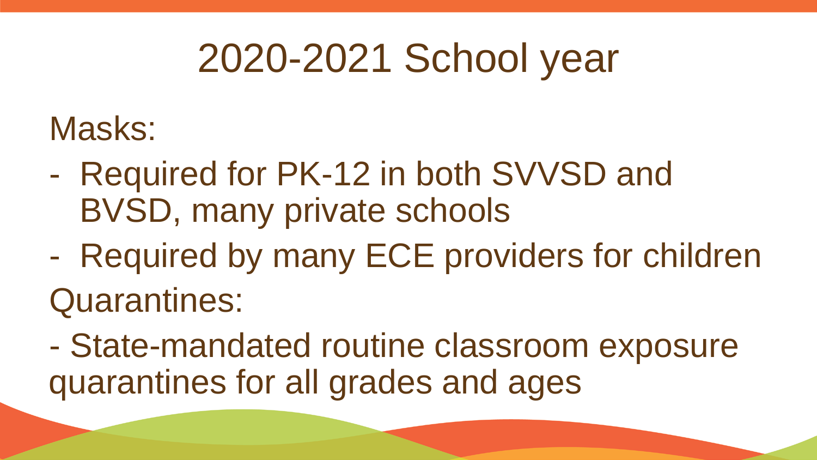### 2020-2021 School year

#### Masks:

- Required for PK-12 in both SVVSD and BVSD, many private schools
- Required by many ECE providers for children

Quarantines:

- State-mandated routine classroom exposure quarantines for all grades and ages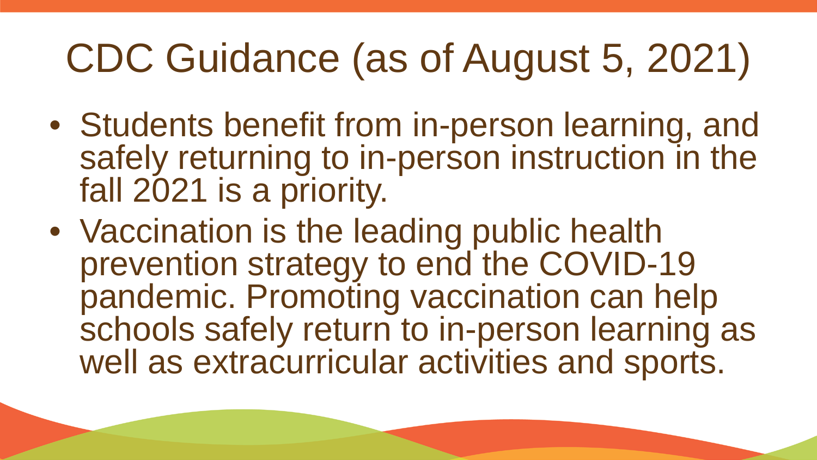# CDC Guidance (as of August 5, 2021)

- Students benefit from in-person learning, and safely returning to in-person instruction in the fall 2021 is a priority.
- Vaccination is the leading public health prevention strategy to end the COVID-19 pandemic. Promoting vaccination can help schools safely return to in-person learning as well as extracurricular activities and sports.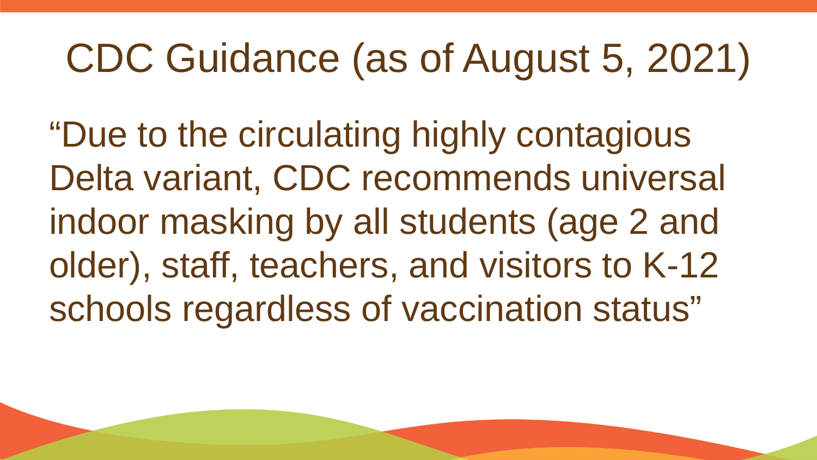# CDC Guidance (as of August 5, 2021)

"Due to the circulating highly contagious Delta variant, CDC recommends universal indoor masking by all students (age 2 and older), staff, teachers, and visitors to K-12 schools regardless of vaccination status"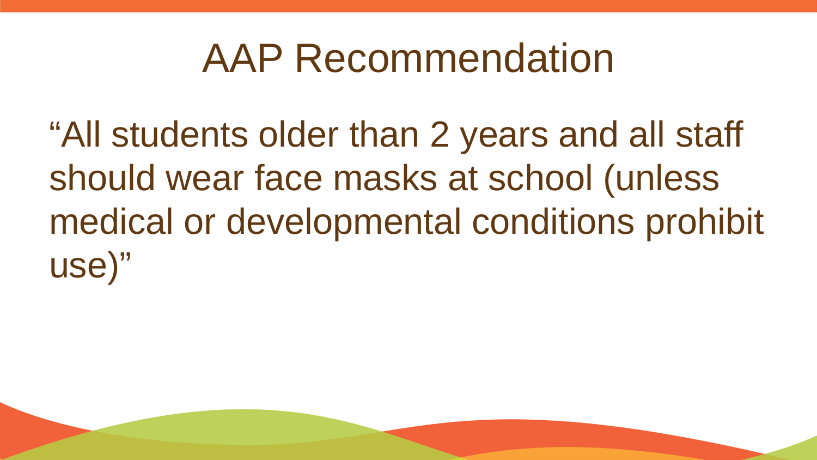#### AAP Recommendation

"All students older than 2 years and all staff should wear face masks at school (unless medical or developmental conditions prohibit use)"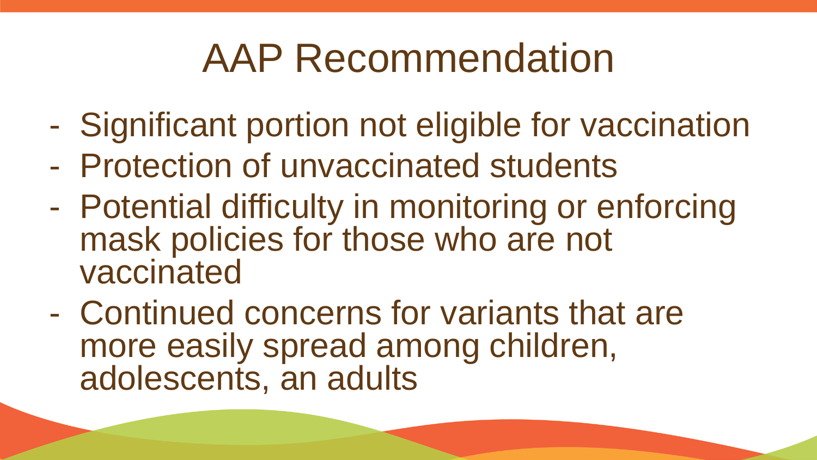### AAP Recommendation

- Significant portion not eligible for vaccination
- Protection of unvaccinated students
- Potential difficulty in monitoring or enforcing mask policies for those who are not vaccinated
- Continued concerns for variants that are more easily spread among children, adolescents, an adults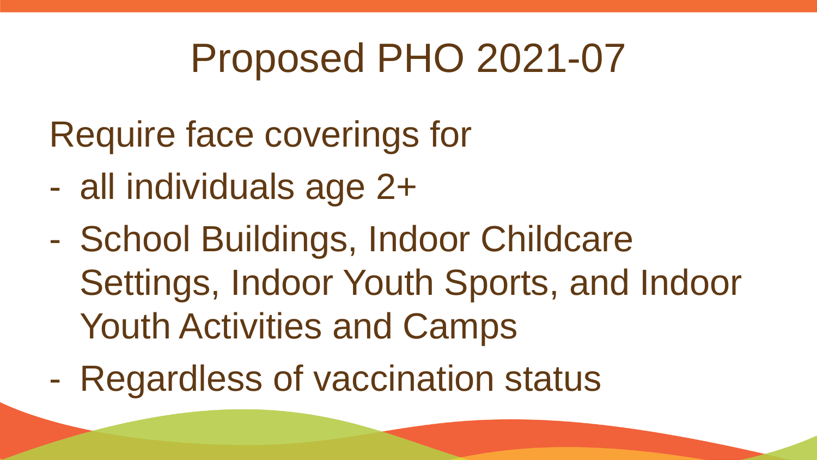- Require face coverings for
- all individuals age 2+
- School Buildings, Indoor Childcare Settings, Indoor Youth Sports, and Indoor Youth Activities and Camps
- Regardless of vaccination status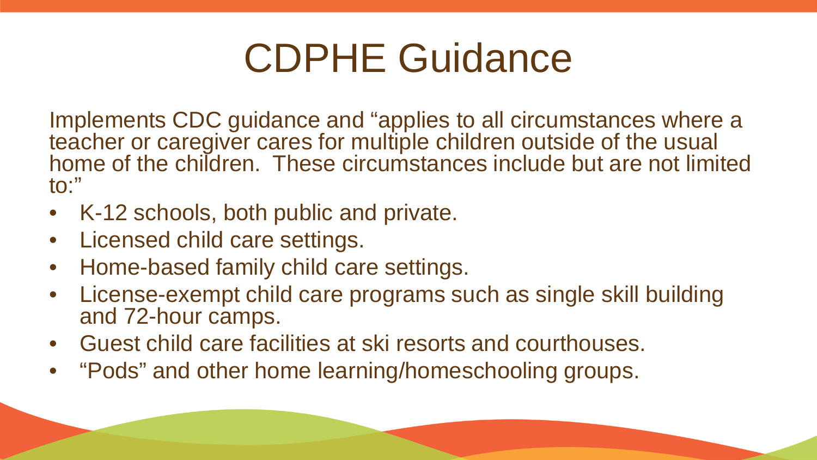### CDPHE Guidance

Implements CDC guidance and "applies to all circumstances where a teacher or caregiver cares for multiple children outside of the usual home of the children. These circumstances include but are not limited to:"

- K-12 schools, both public and private.
- Licensed child care settings.
- Home-based family child care settings.
- License-exempt child care programs such as single skill building and 72-hour camps.
- Guest child care facilities at ski resorts and courthouses.
- "Pods" and other home learning/homeschooling groups.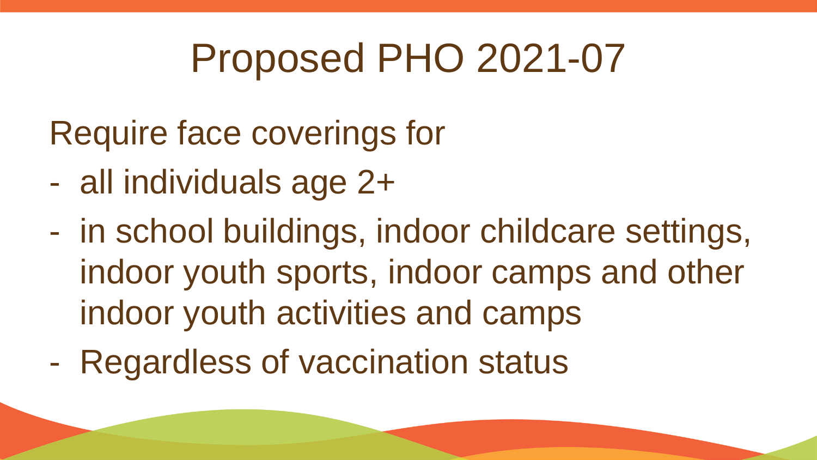- Require face coverings for
- all individuals age 2+
- in school buildings, indoor childcare settings, indoor youth sports, indoor camps and other indoor youth activities and camps
- Regardless of vaccination status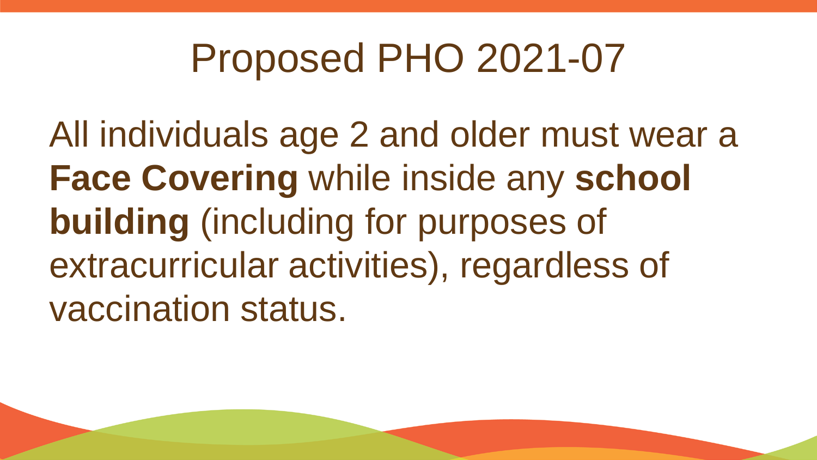All individuals age 2 and older must wear a **Face Covering** while inside any **school building** (including for purposes of extracurricular activities), regardless of vaccination status.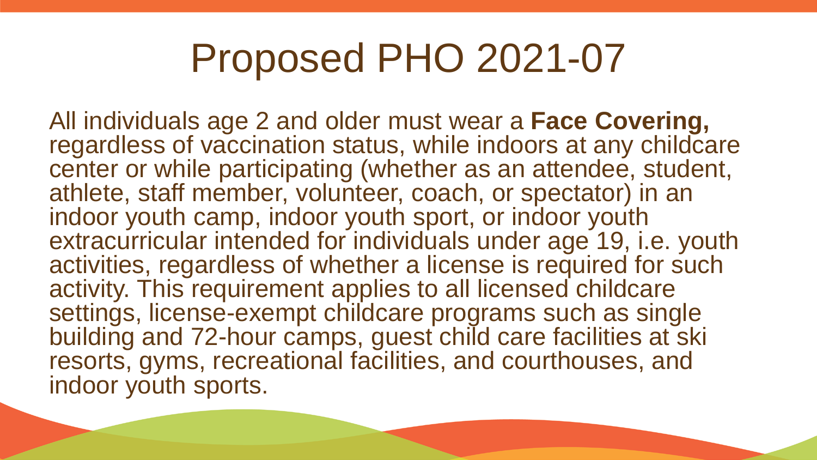All individuals age 2 and older must wear a **Face Covering,**  regardless of vaccination status, while indoors at any childcare center or while participating (whether as an attendee, student, athlete, staff member, volunteer, coach, or spectator) in an indoor youth camp, indoor youth sport, or indoor youth extracurricular intended for individuals under age 19, i.e. youth activities, regardless of whether a license is required for such activity. This requirement applies to all licensed childcare settings, license-exempt childcare programs such as single building and 72-hour camps, guest child care facilities at ski resorts, gyms, recreational facilities, and courthouses, and indoor youth sports.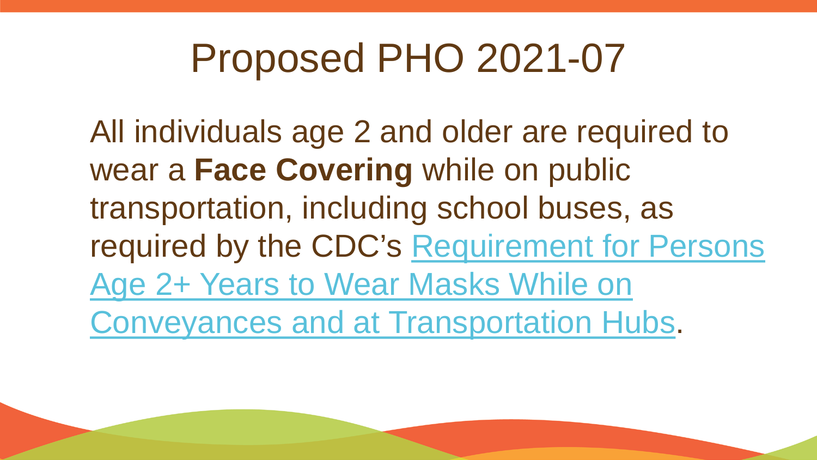All individuals age 2 and older are required to wear a **Face Covering** while on public transportation, including school buses, as [required by the CDC's Requirement for Persons](https://www.cdc.gov/quarantine/pdf/Mask-Order-CDC_GMTF_01-29-21-p.pdf) Age 2+ Years to Wear Masks While on Conveyances and at Transportation Hubs.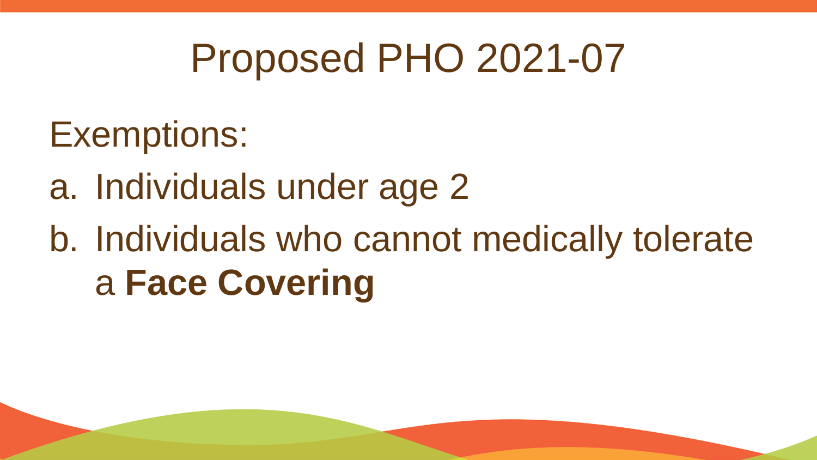#### Exemptions:

- a. Individuals under age 2
- b. Individuals who cannot medically tolerate a **Face Covering**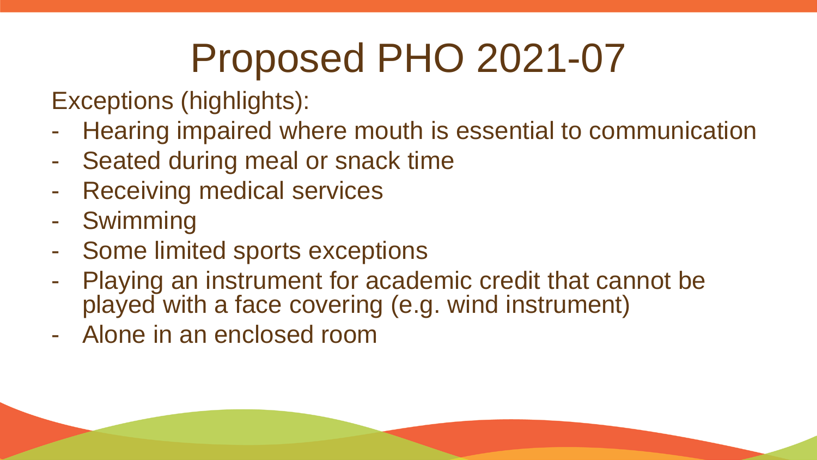Exceptions (highlights):

- Hearing impaired where mouth is essential to communication
- Seated during meal or snack time
- Receiving medical services
- Swimming
- Some limited sports exceptions
- Playing an instrument for academic credit that cannot be played with a face covering (e.g. wind instrument)
- Alone in an enclosed room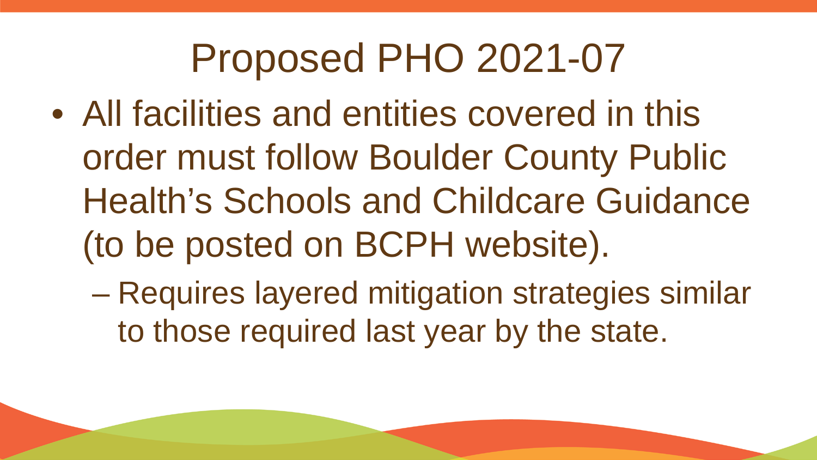- All facilities and entities covered in this order must follow Boulder County Public Health's Schools and Childcare Guidance (to be posted on BCPH website).
	- Requires layered mitigation strategies similar to those required last year by the state.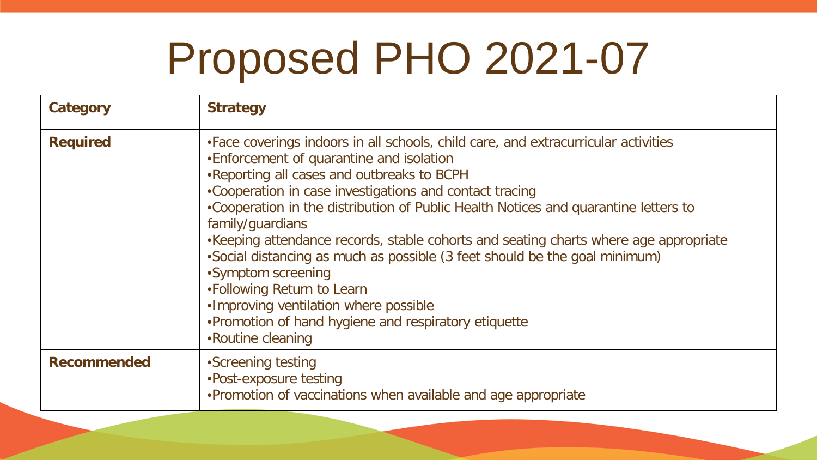| Category           | <b>Strategy</b>                                                                                                                                                                                                                                                                                                                                                                                                                                                                                                                                                                                                                                                                                     |
|--------------------|-----------------------------------------------------------------------------------------------------------------------------------------------------------------------------------------------------------------------------------------------------------------------------------------------------------------------------------------------------------------------------------------------------------------------------------------------------------------------------------------------------------------------------------------------------------------------------------------------------------------------------------------------------------------------------------------------------|
| <b>Required</b>    | • Face coverings indoors in all schools, child care, and extracurricular activities<br>•Enforcement of quarantine and isolation<br>.Reporting all cases and outbreaks to BCPH<br>•Cooperation in case investigations and contact tracing<br>•Cooperation in the distribution of Public Health Notices and quarantine letters to<br>family/guardians<br>•Keeping attendance records, stable cohorts and seating charts where age appropriate<br>•Social distancing as much as possible (3 feet should be the goal minimum)<br>•Symptom screening<br>•Following Return to Learn<br>.Improving ventilation where possible<br>•Promotion of hand hygiene and respiratory etiquette<br>•Routine cleaning |
| <b>Recommended</b> | •Screening testing<br>•Post-exposure testing<br>•Promotion of vaccinations when available and age appropriate                                                                                                                                                                                                                                                                                                                                                                                                                                                                                                                                                                                       |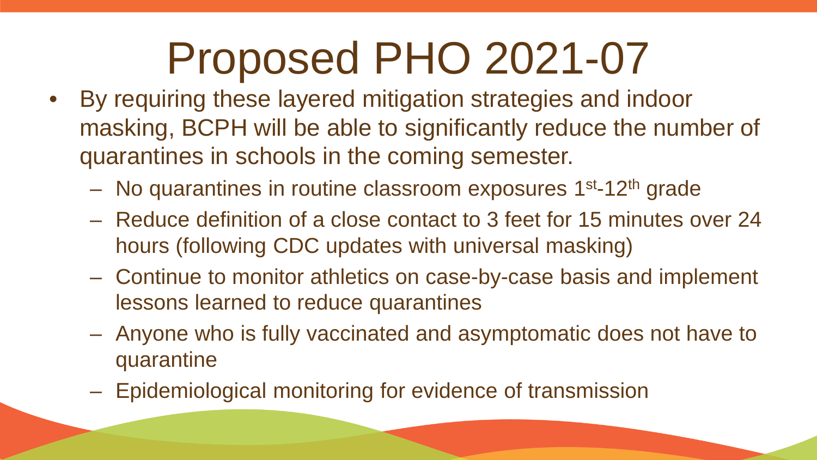- By requiring these layered mitigation strategies and indoor masking, BCPH will be able to significantly reduce the number of quarantines in schools in the coming semester.
	- $-$  No quarantines in routine classroom exposures  $1<sup>st</sup>$ -12<sup>th</sup> grade
	- Reduce definition of a close contact to 3 feet for 15 minutes over 24 hours (following CDC updates with universal masking)
	- Continue to monitor athletics on case-by-case basis and implement lessons learned to reduce quarantines
	- Anyone who is fully vaccinated and asymptomatic does not have to quarantine
	- Epidemiological monitoring for evidence of transmission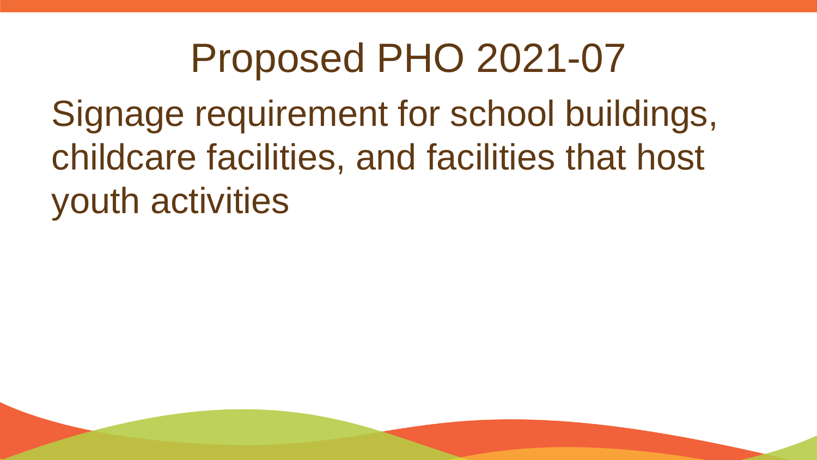Signage requirement for school buildings, childcare facilities, and facilities that host youth activities